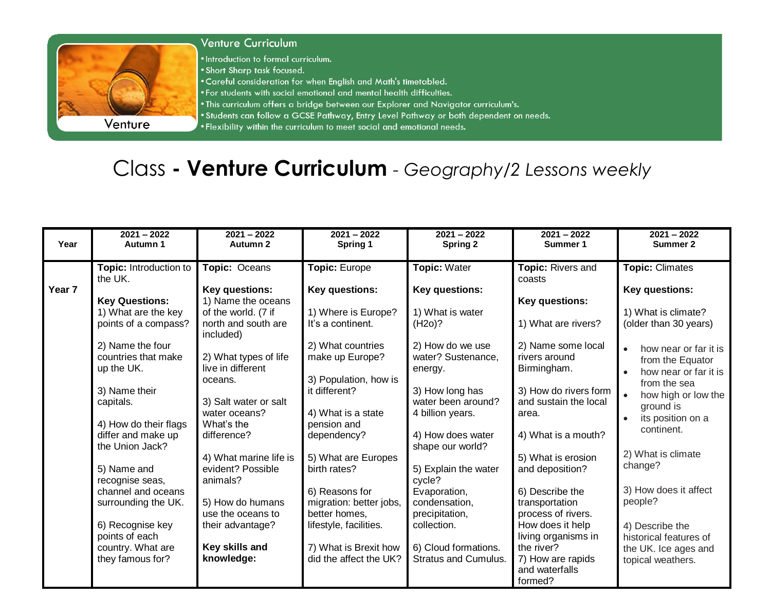

## **Venture Curriculum**

. Introduction to formal curriculum.

- . Short Sharp task focused.
- . Careful consideration for when English and Math's timetabled.
- . For students with social emotional and mental health difficulties.
- . This curriculum offers a bridge between our Explorer and Navigator curriculum's.
- . Students can follow a GCSE Pathway, Entry Level Pathway or both dependent on needs.
- . Flexibility within the curriculum to meet social and emotional needs.

## Class - Venture Curriculum - Geography/2 Lessons weekly

| Year              | $2021 - 2022$<br>Autumn 1           | $2021 - 2022$<br>Autumn 2        | $2021 - 2022$<br>Spring 1 | $2021 - 2022$<br><b>Spring 2</b> | $2021 - 2022$<br>Summer 1         | $2021 - 2022$<br>Summer 2                 |
|-------------------|-------------------------------------|----------------------------------|---------------------------|----------------------------------|-----------------------------------|-------------------------------------------|
|                   | Topic: Introduction to<br>the UK.   | Topic: Oceans                    | Topic: Europe             | <b>Topic: Water</b>              | Topic: Rivers and<br>coasts       | <b>Topic: Climates</b>                    |
| Year <sub>7</sub> |                                     | Key questions:                   | Key questions:            | Key questions:                   |                                   | Key questions:                            |
|                   | <b>Key Questions:</b>               | 1) Name the oceans               |                           |                                  | <b>Key questions:</b>             |                                           |
|                   | 1) What are the key                 | of the world. (7 if              | 1) Where is Europe?       | 1) What is water                 |                                   | 1) What is climate?                       |
|                   | points of a compass?                | north and south are<br>included) | It's a continent.         | (H2o)?                           | 1) What are rivers?               | (older than 30 years)                     |
|                   | 2) Name the four                    |                                  | 2) What countries         | 2) How do we use                 | 2) Name some local                | how near or far it is<br>$\bullet$        |
|                   | countries that make                 | 2) What types of life            | make up Europe?           | water? Sustenance,               | rivers around                     | from the Equator                          |
|                   | up the UK.                          | live in different<br>oceans.     | 3) Population, how is     | energy.                          | Birmingham.                       | how near or far it is                     |
|                   | 3) Name their                       |                                  | it different?             | 3) How long has                  | 3) How do rivers form             | from the sea                              |
|                   | capitals.                           | 3) Salt water or salt            |                           | water been around?               | and sustain the local             | how high or low the<br>ground is          |
|                   |                                     | water oceans?                    | 4) What is a state        | 4 billion years.                 | area.                             | its position on a                         |
|                   | 4) How do their flags               | What's the                       | pension and               |                                  |                                   | continent.                                |
|                   | differ and make up                  | difference?                      | dependency?               | 4) How does water                | 4) What is a mouth?               |                                           |
|                   | the Union Jack?                     | 4) What marine life is           | 5) What are Europes       | shape our world?                 | 5) What is erosion                | 2) What is climate                        |
|                   | 5) Name and                         | evident? Possible                | birth rates?              | 5) Explain the water             | and deposition?                   | change?                                   |
|                   | recognise seas,                     | animals?                         |                           | cycle?                           |                                   |                                           |
|                   | channel and oceans                  |                                  | 6) Reasons for            | Evaporation,                     | 6) Describe the                   | 3) How does it affect                     |
|                   | surrounding the UK.                 | 5) How do humans                 | migration: better jobs,   | condensation,                    | transportation                    | people?                                   |
|                   |                                     | use the oceans to                | better homes.             | precipitation,                   | process of rivers.                |                                           |
|                   | 6) Recognise key                    | their advantage?                 | lifestyle, facilities.    | collection.                      | How does it help                  | 4) Describe the                           |
|                   | points of each<br>country. What are | Key skills and                   | 7) What is Brexit how     | 6) Cloud formations.             | living organisms in<br>the river? | historical features of                    |
|                   | they famous for?                    | knowledge:                       | did the affect the UK?    | <b>Stratus and Cumulus</b>       | 7) How are rapids                 | the UK. Ice ages and<br>topical weathers. |
|                   |                                     |                                  |                           |                                  | and waterfalls<br>formed?         |                                           |